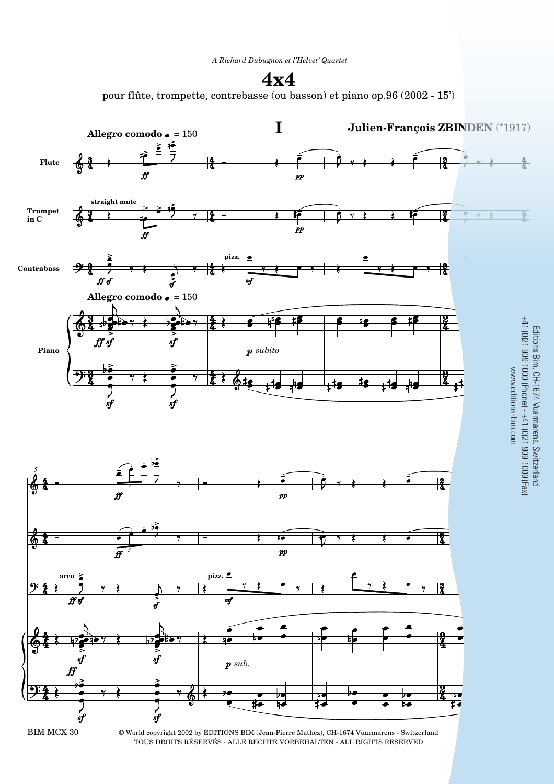

Editions Bim, CH-1674 Vuarmarens, Switzerland

## **4x4**

pour flûte, trompette, contrebasse (ou basson) et piano op.96 (2002 - 15')

© World copyright 2002 by ÉDITIONS BIM (Jean-Pierre Mathez), CH-1674 Vuarmarens - Switzerland BIM MCX 30 3 TOUS DROITS RÉSERVÉS - ALLE RECHTE VORBEHALTEN - ALL RIGHTS RESERVED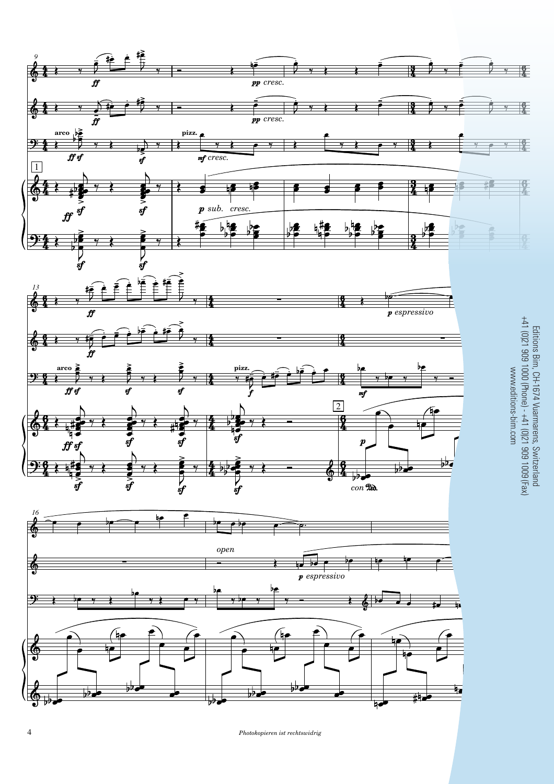



 $\,$  *Photokopieren ist rechtswidrig*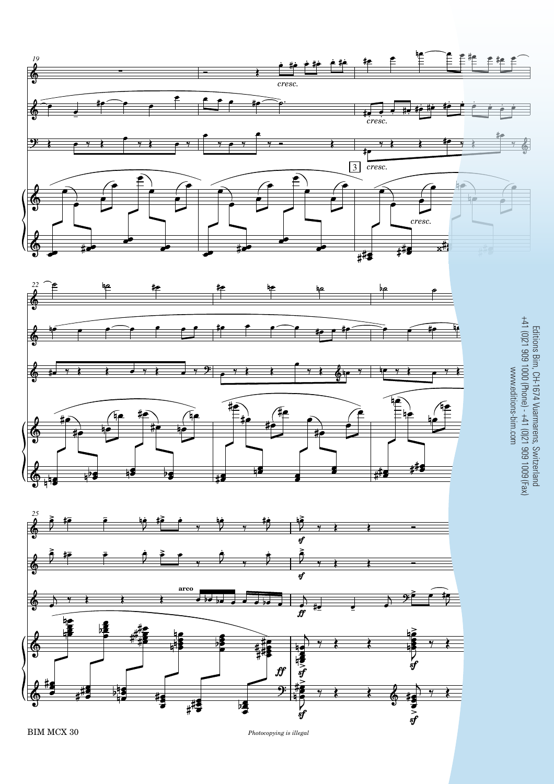

BIM MCX 30 *Photocopying is illegal* 5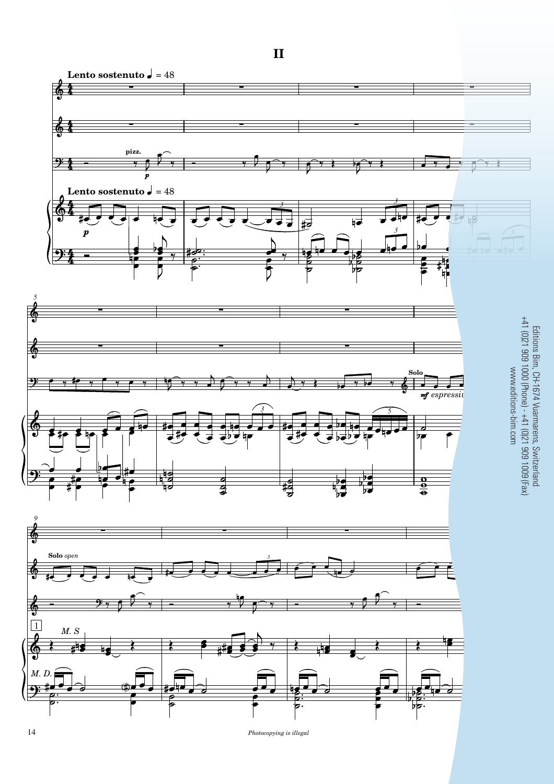

**II**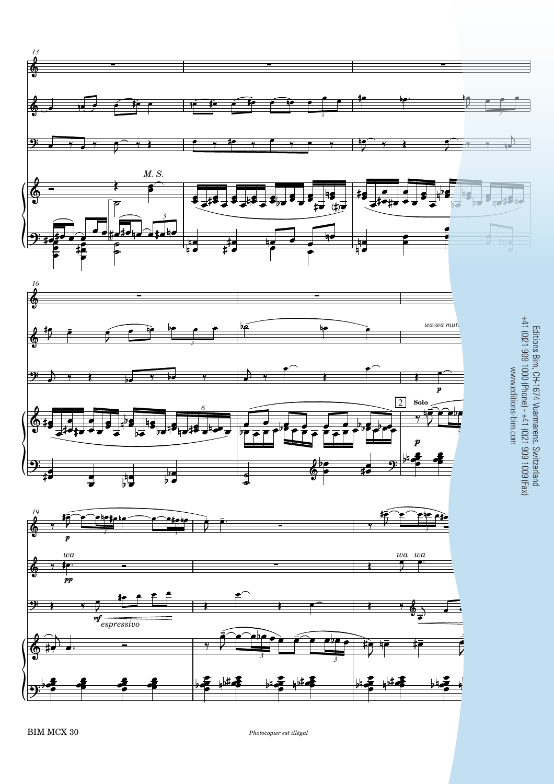





Editions Bim, CH-1674 Vuarmarens, Switzerland<br>+41 (0)21 909 1000 (Phone) - +41 (0)21 909 1009 (Fax) +41 (0)21 909 1000 (Phone) - +41 (0)21 909 1009 (Fax) Editions Bim, CH-1674 Vuarmarens, Switzerland www.editions-bim.com www.editions-bim.com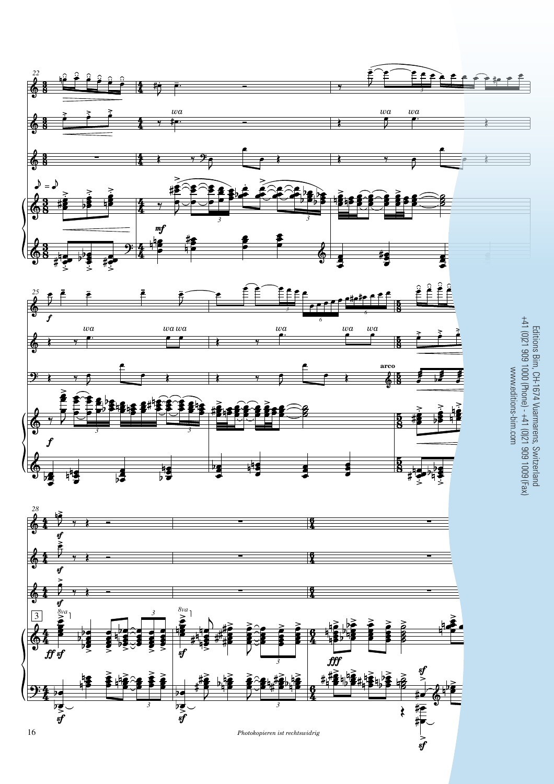





Editions Bim, CH-1674 Vuarmarens, Switzerland<br>+41 (0)21 909 1000 (Phone) - +41 (0)21 909 1009 (Fax) +41 (0)21 909 1000 (Phone) - +41 (0)21 909 1009 (Fax) Editions Bim, CH-1674 Vuarmarens, Switzerland www.editions-bim.com www.editions-bim.com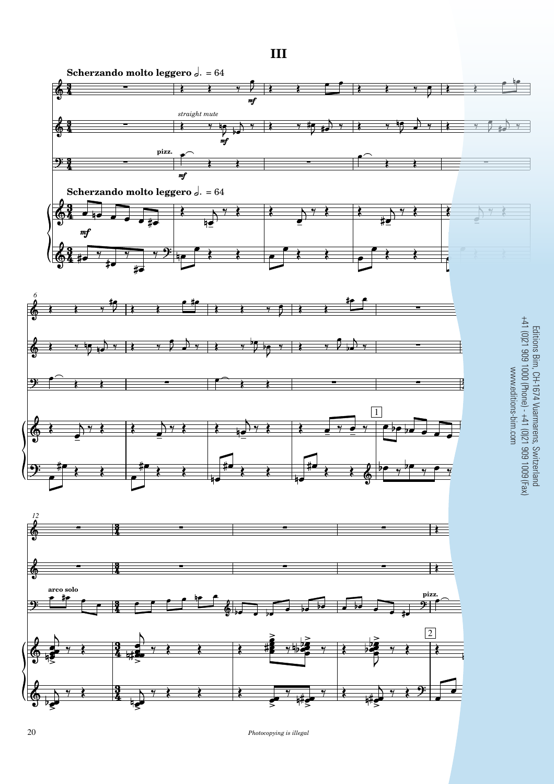

20 *Photocopying is illegal* 

**III**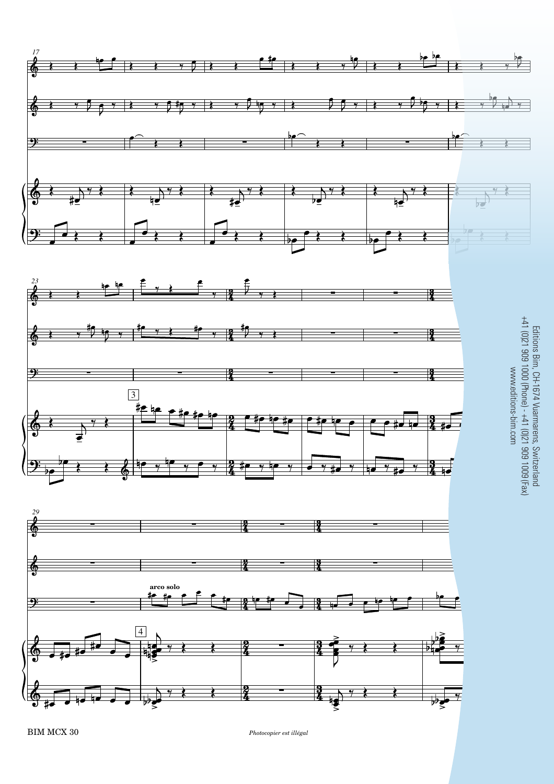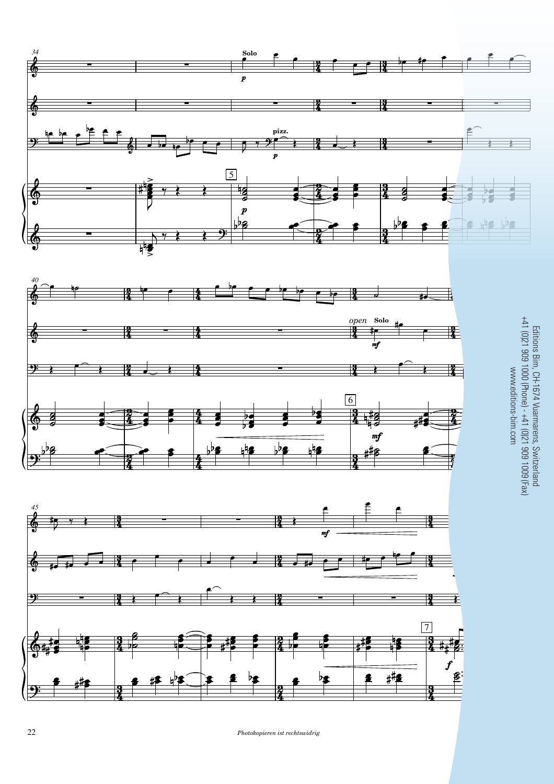





Editions Bim, CH-1674 Vuarmarens, Switzerland<br>+41 (0)21 909 1000 (Phone) - +41 (0)21 909 1009 (Fax)<br>www.editions-bim.com +41 (0)21 909 1000 (Phone) - +41 (0)21 909 1009 (Fax) Editions Bim, CH-1674 Vuarmarens, Switzerland www.editions-bim.com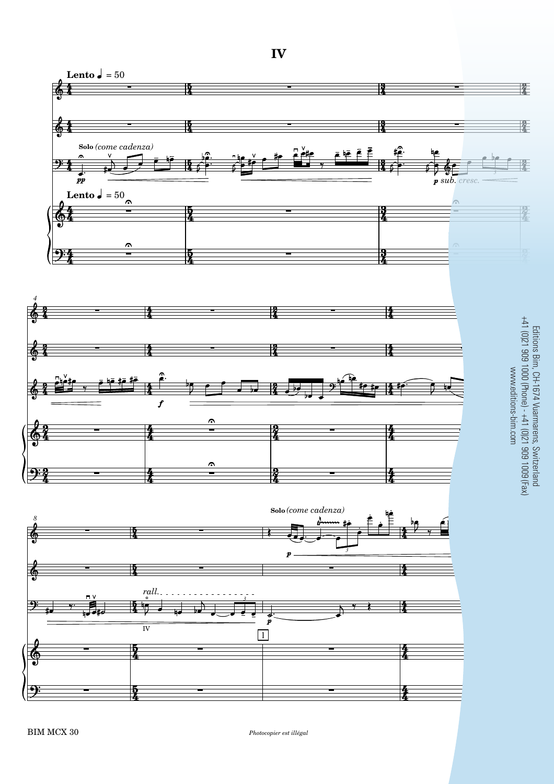

BIM MCX 30 *Photocopier est illégal* 27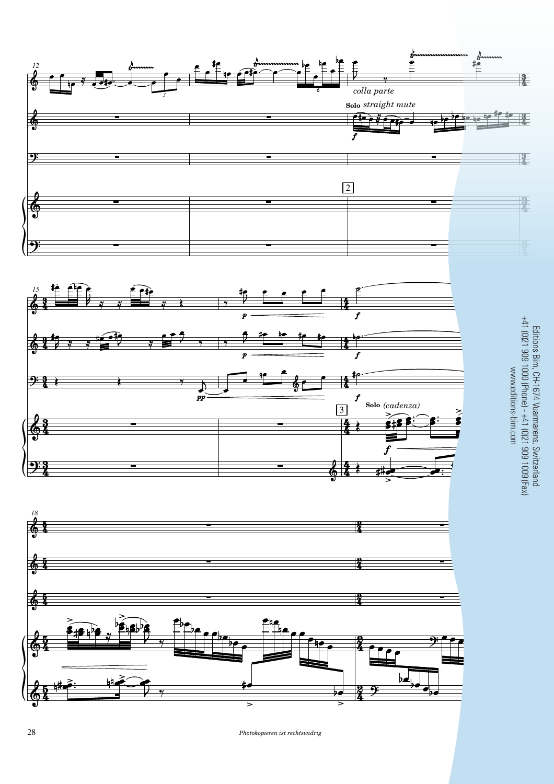

 $\emph{Photobopieren ist rechtswidrig}$   $\emph{Photobopieren ist rechtswidrig}$ 

Editions Bim, CH-1674 Vuarmarens, Switzerland